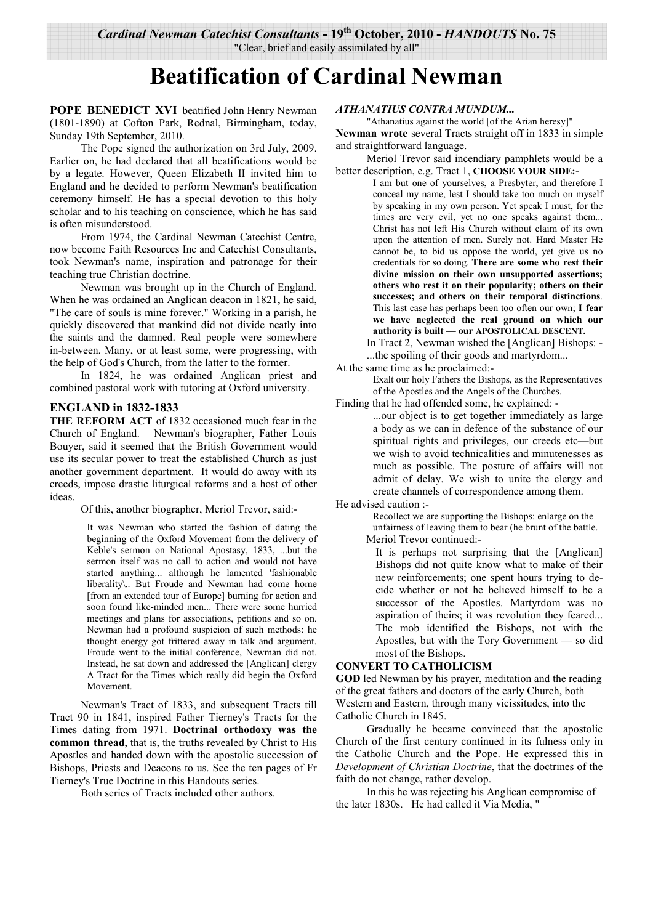# "Clear, brief and easily assimilated by all"

# **Beatification of Cardinal Newman**

**POPE BENEDICT XVI** beatified John Henry Newman (1801-1890) at Cofton Park, Rednal, Birmingham, today, Sunday 19th September, 2010.

 The Pope signed the authorization on 3rd July, 2009. Earlier on, he had declared that all beatifications would be by a legate. However, Queen Elizabeth II invited him to England and he decided to perform Newman's beatification ceremony himself. He has a special devotion to this holy scholar and to his teaching on conscience, which he has said is often misunderstood.

 From 1974, the Cardinal Newman Catechist Centre, now become Faith Resources Inc and Catechist Consultants, took Newman's name, inspiration and patronage for their teaching true Christian doctrine.

 Newman was brought up in the Church of England. When he was ordained an Anglican deacon in 1821, he said, "The care of souls is mine forever." Working in a parish, he quickly discovered that mankind did not divide neatly into the saints and the damned. Real people were somewhere in-between. Many, or at least some, were progressing, with the help of God's Church, from the latter to the former.

 In 1824, he was ordained Anglican priest and combined pastoral work with tutoring at Oxford university.

# **ENGLAND in 1832-1833**

**THE REFORM ACT** of 1832 occasioned much fear in the Church of England. Newman's biographer, Father Louis Bouyer, said it seemed that the British Government would use its secular power to treat the established Church as just another government department. It would do away with its creeds, impose drastic liturgical reforms and a host of other ideas.

Of this, another biographer, Meriol Trevor, said:-

It was Newman who started the fashion of dating the beginning of the Oxford Movement from the delivery of Keble's sermon on National Apostasy, 1833, ...but the sermon itself was no call to action and would not have started anything... although he lamented 'fashionable liberality\.. But Froude and Newman had come home [from an extended tour of Europe] burning for action and soon found like-minded men... There were some hurried meetings and plans for associations, petitions and so on. Newman had a profound suspicion of such methods: he thought energy got frittered away in talk and argument. Froude went to the initial conference, Newman did not. Instead, he sat down and addressed the [Anglican] clergy A Tract for the Times which really did begin the Oxford Movement.

 Newman's Tract of 1833, and subsequent Tracts till Tract 90 in 1841, inspired Father Tierney's Tracts for the Times dating from 1971. **Doctrinal orthodoxy was the common thread**, that is, the truths revealed by Christ to His Apostles and handed down with the apostolic succession of Bishops, Priests and Deacons to us. See the ten pages of Fr Tierney's True Doctrine in this Handouts series.

Both series of Tracts included other authors.

#### *ATHANATIUS CONTRA MUNDUM...*

"Athanatius against the world [of the Arian heresy]" **Newman wrote** several Tracts straight off in 1833 in simple and straightforward language.

 Meriol Trevor said incendiary pamphlets would be a better description, e.g. Tract 1, **CHOOSE YOUR SIDE:**-

I am but one of yourselves, a Presbyter, and therefore I conceal my name, lest I should take too much on myself by speaking in my own person. Yet speak I must, for the times are very evil, yet no one speaks against them... Christ has not left His Church without claim of its own upon the attention of men. Surely not. Hard Master He cannot be, to bid us oppose the world, yet give us no credentials for so doing. **There are some who rest their divine mission on their own unsupported assertions; others who rest it on their popularity; others on their successes; and others on their temporal distinctions**. This last case has perhaps been too often our own; **I fear we have neglected the real ground on which our authority is built — our APOSTOLICAL DESCENT.**

 In Tract 2, Newman wished the [Anglican] Bishops: - ...the spoiling of their goods and martyrdom...

At the same time as he proclaimed:-

Exalt our holy Fathers the Bishops, as the Representatives of the Apostles and the Angels of the Churches.

Finding that he had offended some, he explained: -

...our object is to get together immediately as large a body as we can in defence of the substance of our spiritual rights and privileges, our creeds etc—but we wish to avoid technicalities and minutenesses as much as possible. The posture of affairs will not admit of delay. We wish to unite the clergy and create channels of correspondence among them.

He advised caution :-

Recollect we are supporting the Bishops: enlarge on the unfairness of leaving them to bear (he brunt of the battle.

Meriol Trevor continued:-

It is perhaps not surprising that the [Anglican] Bishops did not quite know what to make of their new reinforcements; one spent hours trying to decide whether or not he believed himself to be a successor of the Apostles. Martyrdom was no aspiration of theirs; it was revolution they feared... The mob identified the Bishops, not with the Apostles, but with the Tory Government — so did most of the Bishops.

## **CONVERT TO CATHOLICISM**

**GOD** led Newman by his prayer, meditation and the reading of the great fathers and doctors of the early Church, both Western and Eastern, through many vicissitudes, into the Catholic Church in 1845.

 Gradually he became convinced that the apostolic Church of the first century continued in its fulness only in the Catholic Church and the Pope. He expressed this in *Development of Christian Doctrine*, that the doctrines of the faith do not change, rather develop.

 In this he was rejecting his Anglican compromise of the later 1830s. He had called it Via Media, "